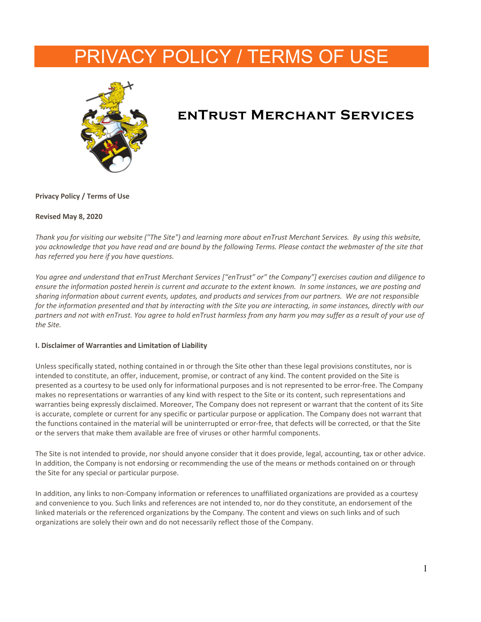# PRIVACY POLICY / TERMS OF USE



# **enTrust Merchant Services**

**Privacy Policy / Terms of Use**

#### **Revised May 8, 2020**

*Thank you for visiting our website ("The Site") and learning more about enTrust Merchant Services. By using this website, you acknowledge that you have read and are bound by the following Terms. Please contact the webmaster of the site that has referred you here if you have questions.*

*You agree and understand that enTrust Merchant Services ["enTrust" or" the Company"] exercises caution and diligence to ensure the information posted herein is current and accurate to the extent known. In some instances, we are posting and sharing information about current events, updates, and products and services from our partners. We are not responsible for the information presented and that by interacting with the Site you are interacting, in some instances, directly with our partners and not with enTrust. You agree to hold enTrust harmless from any harm you may suffer as a result of your use of the Site.*

# **I. Disclaimer of Warranties and Limitation of Liability**

Unless specifically stated, nothing contained in or through the Site other than these legal provisions constitutes, nor is intended to constitute, an offer, inducement, promise, or contract of any kind. The content provided on the Site is presented as a courtesy to be used only for informational purposes and is not represented to be error-free. The Company makes no representations or warranties of any kind with respect to the Site or its content, such representations and warranties being expressly disclaimed. Moreover, The Company does not represent or warrant that the content of its Site is accurate, complete or current for any specific or particular purpose or application. The Company does not warrant that the functions contained in the material will be uninterrupted or error-free, that defects will be corrected, or that the Site or the servers that make them available are free of viruses or other harmful components.

The Site is not intended to provide, nor should anyone consider that it does provide, legal, accounting, tax or other advice. In addition, the Company is not endorsing or recommending the use of the means or methods contained on or through the Site for any special or particular purpose.

In addition, any links to non-Company information or references to unaffiliated organizations are provided as a courtesy and convenience to you. Such links and references are not intended to, nor do they constitute, an endorsement of the linked materials or the referenced organizations by the Company. The content and views on such links and of such organizations are solely their own and do not necessarily reflect those of the Company.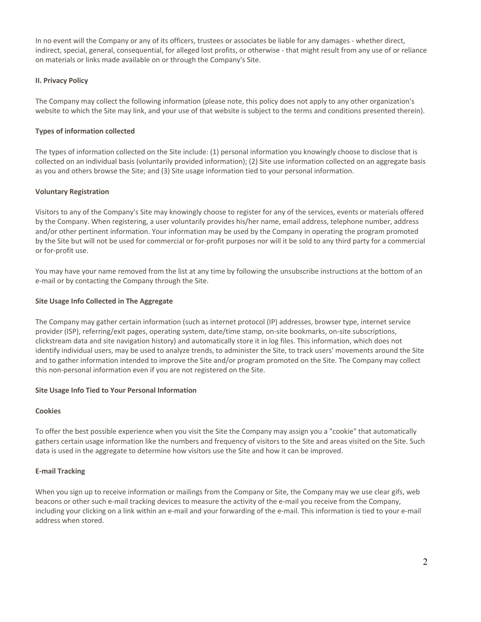In no event will the Company or any of its officers, trustees or associates be liable for any damages - whether direct, indirect, special, general, consequential, for alleged lost profits, or otherwise - that might result from any use of or reliance on materials or links made available on or through the Company's Site.

# **II. Privacy Policy**

The Company may collect the following information (please note, this policy does not apply to any other organization's website to which the Site may link, and your use of that website is subject to the terms and conditions presented therein).

# **Types of information collected**

The types of information collected on the Site include: (1) personal information you knowingly choose to disclose that is collected on an individual basis (voluntarily provided information); (2) Site use information collected on an aggregate basis as you and others browse the Site; and (3) Site usage information tied to your personal information.

# **Voluntary Registration**

Visitors to any of the Company's Site may knowingly choose to register for any of the services, events or materials offered by the Company. When registering, a user voluntarily provides his/her name, email address, telephone number, address and/or other pertinent information. Your information may be used by the Company in operating the program promoted by the Site but will not be used for commercial or for-profit purposes nor will it be sold to any third party for a commercial or for-profit use.

You may have your name removed from the list at any time by following the unsubscribe instructions at the bottom of an e-mail or by contacting the Company through the Site.

# **Site Usage Info Collected in The Aggregate**

The Company may gather certain information (such as internet protocol (IP) addresses, browser type, internet service provider (ISP), referring/exit pages, operating system, date/time stamp, on-site bookmarks, on-site subscriptions, clickstream data and site navigation history) and automatically store it in log files. This information, which does not identify individual users, may be used to analyze trends, to administer the Site, to track users' movements around the Site and to gather information intended to improve the Site and/or program promoted on the Site. The Company may collect this non-personal information even if you are not registered on the Site.

# **Site Usage Info Tied to Your Personal Information**

# **Cookies**

To offer the best possible experience when you visit the Site the Company may assign you a "cookie" that automatically gathers certain usage information like the numbers and frequency of visitors to the Site and areas visited on the Site. Such data is used in the aggregate to determine how visitors use the Site and how it can be improved.

# **E-mail Tracking**

When you sign up to receive information or mailings from the Company or Site, the Company may we use clear gifs, web beacons or other such e-mail tracking devices to measure the activity of the e-mail you receive from the Company, including your clicking on a link within an e-mail and your forwarding of the e-mail. This information is tied to your e-mail address when stored.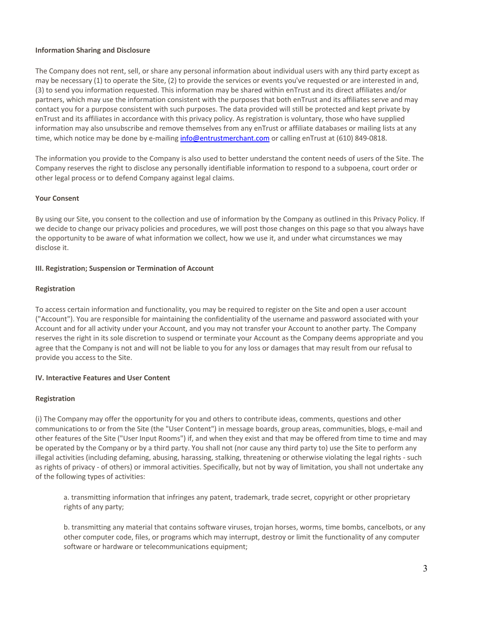#### **Information Sharing and Disclosure**

The Company does not rent, sell, or share any personal information about individual users with any third party except as may be necessary (1) to operate the Site, (2) to provide the services or events you've requested or are interested in and, (3) to send you information requested. This information may be shared within enTrust and its direct affiliates and/or partners, which may use the information consistent with the purposes that both enTrust and its affiliates serve and may contact you for a purpose consistent with such purposes. The data provided will still be protected and kept private by enTrust and its affiliates in accordance with this privacy policy. As registration is voluntary, those who have supplied information may also unsubscribe and remove themselves from any enTrust or affiliate databases or mailing lists at any time, which notice may be done by e-mailing info@entrustmerchant.com or calling enTrust at (610) 849-0818.

The information you provide to the Company is also used to better understand the content needs of users of the Site. The Company reserves the right to disclose any personally identifiable information to respond to a subpoena, court order or other legal process or to defend Company against legal claims.

# **Your Consent**

By using our Site, you consent to the collection and use of information by the Company as outlined in this Privacy Policy. If we decide to change our privacy policies and procedures, we will post those changes on this page so that you always have the opportunity to be aware of what information we collect, how we use it, and under what circumstances we may disclose it.

#### **III. Registration; Suspension or Termination of Account**

#### **Registration**

To access certain information and functionality, you may be required to register on the Site and open a user account ("Account"). You are responsible for maintaining the confidentiality of the username and password associated with your Account and for all activity under your Account, and you may not transfer your Account to another party. The Company reserves the right in its sole discretion to suspend or terminate your Account as the Company deems appropriate and you agree that the Company is not and will not be liable to you for any loss or damages that may result from our refusal to provide you access to the Site.

# **IV. Interactive Features and User Content**

#### **Registration**

(i) The Company may offer the opportunity for you and others to contribute ideas, comments, questions and other communications to or from the Site (the "User Content") in message boards, group areas, communities, blogs, e-mail and other features of the Site ("User Input Rooms") if, and when they exist and that may be offered from time to time and may be operated by the Company or by a third party. You shall not (nor cause any third party to) use the Site to perform any illegal activities (including defaming, abusing, harassing, stalking, threatening or otherwise violating the legal rights - such as rights of privacy - of others) or immoral activities. Specifically, but not by way of limitation, you shall not undertake any of the following types of activities:

a. transmitting information that infringes any patent, trademark, trade secret, copyright or other proprietary rights of any party;

b. transmitting any material that contains software viruses, trojan horses, worms, time bombs, cancelbots, or any other computer code, files, or programs which may interrupt, destroy or limit the functionality of any computer software or hardware or telecommunications equipment;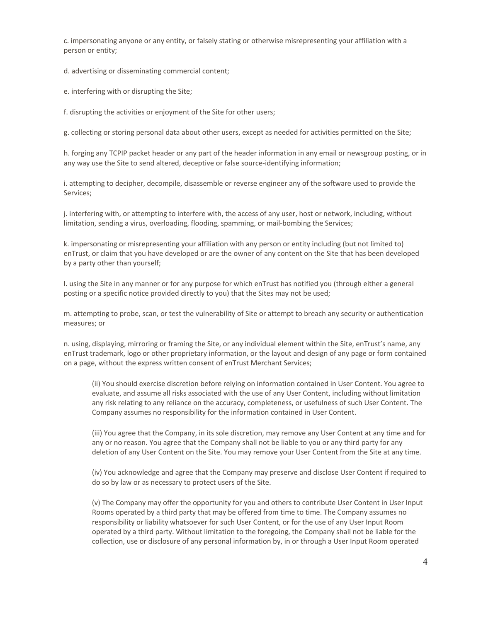c. impersonating anyone or any entity, or falsely stating or otherwise misrepresenting your affiliation with a person or entity;

d. advertising or disseminating commercial content;

e. interfering with or disrupting the Site;

f. disrupting the activities or enjoyment of the Site for other users;

g. collecting or storing personal data about other users, except as needed for activities permitted on the Site;

h. forging any TCPIP packet header or any part of the header information in any email or newsgroup posting, or in any way use the Site to send altered, deceptive or false source-identifying information;

i. attempting to decipher, decompile, disassemble or reverse engineer any of the software used to provide the Services;

j. interfering with, or attempting to interfere with, the access of any user, host or network, including, without limitation, sending a virus, overloading, flooding, spamming, or mail-bombing the Services;

k. impersonating or misrepresenting your affiliation with any person or entity including (but not limited to) enTrust, or claim that you have developed or are the owner of any content on the Site that has been developed by a party other than yourself;

l. using the Site in any manner or for any purpose for which enTrust has notified you (through either a general posting or a specific notice provided directly to you) that the Sites may not be used;

m. attempting to probe, scan, or test the vulnerability of Site or attempt to breach any security or authentication measures; or

n. using, displaying, mirroring or framing the Site, or any individual element within the Site, enTrust's name, any enTrust trademark, logo or other proprietary information, or the layout and design of any page or form contained on a page, without the express written consent of enTrust Merchant Services;

(ii) You should exercise discretion before relying on information contained in User Content. You agree to evaluate, and assume all risks associated with the use of any User Content, including without limitation any risk relating to any reliance on the accuracy, completeness, or usefulness of such User Content. The Company assumes no responsibility for the information contained in User Content.

(iii) You agree that the Company, in its sole discretion, may remove any User Content at any time and for any or no reason. You agree that the Company shall not be liable to you or any third party for any deletion of any User Content on the Site. You may remove your User Content from the Site at any time.

(iv) You acknowledge and agree that the Company may preserve and disclose User Content if required to do so by law or as necessary to protect users of the Site.

(v) The Company may offer the opportunity for you and others to contribute User Content in User Input Rooms operated by a third party that may be offered from time to time. The Company assumes no responsibility or liability whatsoever for such User Content, or for the use of any User Input Room operated by a third party. Without limitation to the foregoing, the Company shall not be liable for the collection, use or disclosure of any personal information by, in or through a User Input Room operated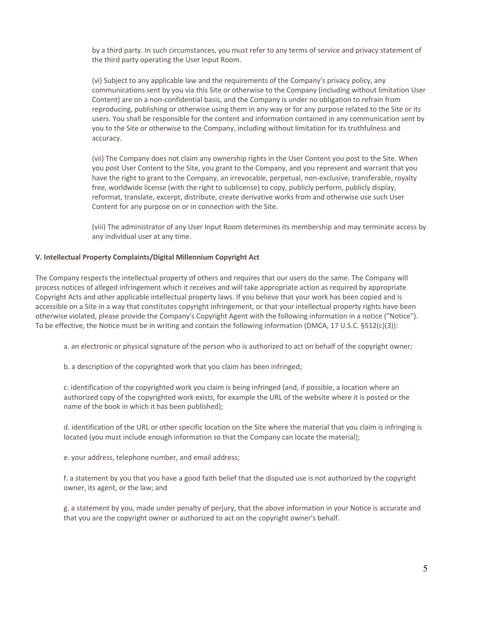by a third party. In such circumstances, you must refer to any terms of service and privacy statement of the third party operating the User Input Room.

(vi) Subject to any applicable law and the requirements of the Company's privacy policy, any communications sent by you via this Site or otherwise to the Company (including without limitation User Content) are on a non-confidential basis, and the Company is under no obligation to refrain from reproducing, publishing or otherwise using them in any way or for any purpose related to the Site or its users. You shall be responsible for the content and information contained in any communication sent by you to the Site or otherwise to the Company, including without limitation for its truthfulness and accuracy.

(vii) The Company does not claim any ownership rights in the User Content you post to the Site. When you post User Content to the Site, you grant to the Company, and you represent and warrant that you have the right to grant to the Company, an irrevocable, perpetual, non-exclusive, transferable, royalty free, worldwide license (with the right to sublicense) to copy, publicly perform, publicly display, reformat, translate, excerpt, distribute, create derivative works from and otherwise use such User Content for any purpose on or in connection with the Site.

(viii) The administrator of any User Input Room determines its membership and may terminate access by any individual user at any time.

#### **V. Intellectual Property Complaints/Digital Millennium Copyright Act**

The Company respects the intellectual property of others and requires that our users do the same. The Company will process notices of alleged infringement which it receives and will take appropriate action as required by appropriate Copyright Acts and other applicable intellectual property laws. If you believe that your work has been copied and is accessible on a Site in a way that constitutes copyright infringement, or that your intellectual property rights have been otherwise violated, please provide the Company's Copyright Agent with the following information in a notice ("Notice"). To be effective, the Notice must be in writing and contain the following information (DMCA, 17 U.S.C. §512(c)(3)):

a. an electronic or physical signature of the person who is authorized to act on behalf of the copyright owner;

b. a description of the copyrighted work that you claim has been infringed;

c. identification of the copyrighted work you claim is being infringed (and, if possible, a location where an authorized copy of the copyrighted work exists, for example the URL of the website where it is posted or the name of the book in which it has been published);

d. identification of the URL or other specific location on the Site where the material that you claim is infringing is located (you must include enough information so that the Company can locate the material);

e. your address, telephone number, and email address;

f. a statement by you that you have a good faith belief that the disputed use is not authorized by the copyright owner, its agent, or the law; and

g. a statement by you, made under penalty of perjury, that the above information in your Notice is accurate and that you are the copyright owner or authorized to act on the copyright owner's behalf.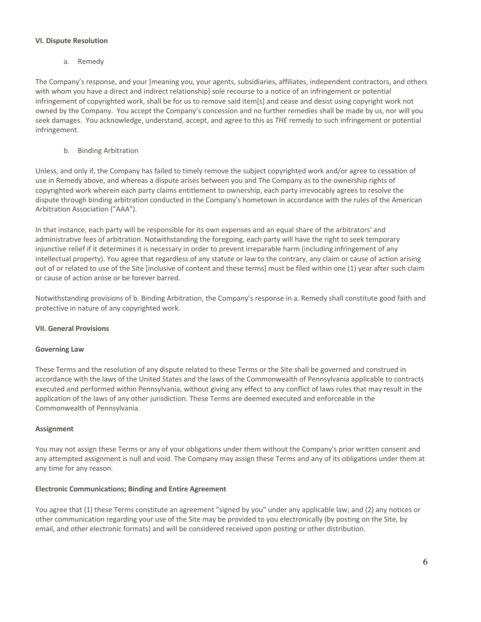#### **VI. Dispute Resolution**

a. Remedy

The Company's response, and your [meaning you, your agents, subsidiaries, affiliates, independent contractors, and others with whom you have a direct and indirect relationship] sole recourse to a notice of an infringement or potential infringement of copyrighted work, shall be for us to remove said item[s] and cease and desist using copyright work not owned by the Company. You accept the Company's concession and no further remedies shall be made by us, nor will you seek damages. You acknowledge, understand, accept, and agree to this as *THE* remedy to such infringement or potential infringement.

b. Binding Arbitration

Unless, and only if, the Company has failed to timely remove the subject copyrighted work and/or agree to cessation of use in Remedy above, and whereas a dispute arises between you and The Company as to the ownership rights of copyrighted work wherein each party claims entitlement to ownership, each party irrevocably agrees to resolve the dispute through binding arbitration conducted in the Company's hometown in accordance with the rules of the American Arbitration Association ("AAA").

In that instance, each party will be responsible for its own expenses and an equal share of the arbitrators' and administrative fees of arbitration. Notwithstanding the foregoing, each party will have the right to seek temporary injunctive relief if it determines it is necessary in order to prevent irreparable harm (including infringement of any intellectual property). You agree that regardless of any statute or law to the contrary, any claim or cause of action arising out of or related to use of the Site [inclusive of content and these terms] must be filed within one (1) year after such claim or cause of action arose or be forever barred.

Notwithstanding provisions of b. Binding Arbitration, the Company's response in a. Remedy shall constitute good faith and protective in nature of any copyrighted work.

# **VII. General Provisions**

# **Governing Law**

These Terms and the resolution of any dispute related to these Terms or the Site shall be governed and construed in accordance with the laws of the United States and the laws of the Commonwealth of Pennsylvania applicable to contracts executed and performed within Pennsylvania, without giving any effect to any conflict of laws rules that may result in the application of the laws of any other jurisdiction. These Terms are deemed executed and enforceable in the Commonwealth of Pennsylvania.

# **Assignment**

You may not assign these Terms or any of your obligations under them without the Company's prior written consent and any attempted assignment is null and void. The Company may assign these Terms and any of its obligations under them at any time for any reason.

# **Electronic Communications; Binding and Entire Agreement**

You agree that (1) these Terms constitute an agreement "signed by you" under any applicable law; and (2) any notices or other communication regarding your use of the Site may be provided to you electronically (by posting on the Site, by email, and other electronic formats) and will be considered received upon posting or other distribution.